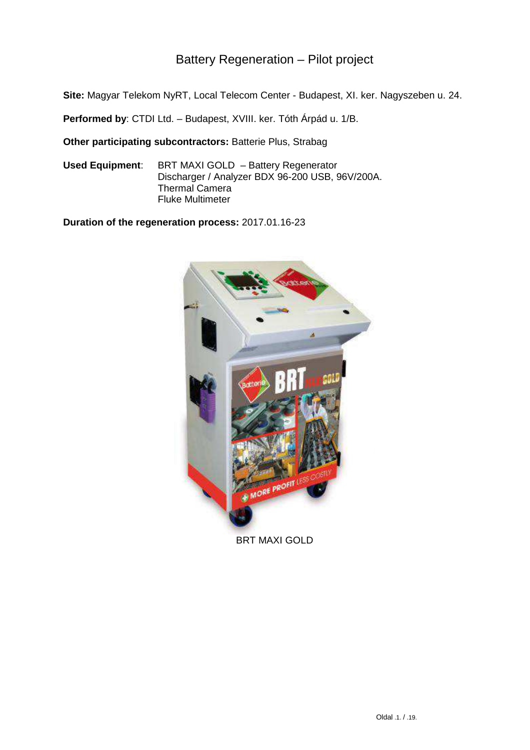# Battery Regeneration – Pilot project

**Site:** Magyar Telekom NyRT, Local Telecom Center - Budapest, XI. ker. Nagyszeben u. 24.

**Performed by**: CTDI Ltd. – Budapest, XVIII. ker. Tóth Árpád u. 1/B.

**Other participating subcontractors:** Batterie Plus, Strabag

**Used Equipment**: BRT MAXI GOLD – Battery Regenerator Discharger / Analyzer BDX 96-200 USB, 96V/200A. Thermal Camera Fluke Multimeter

**Duration of the regeneration process:** 2017.01.16-23



BRT MAXI GOLD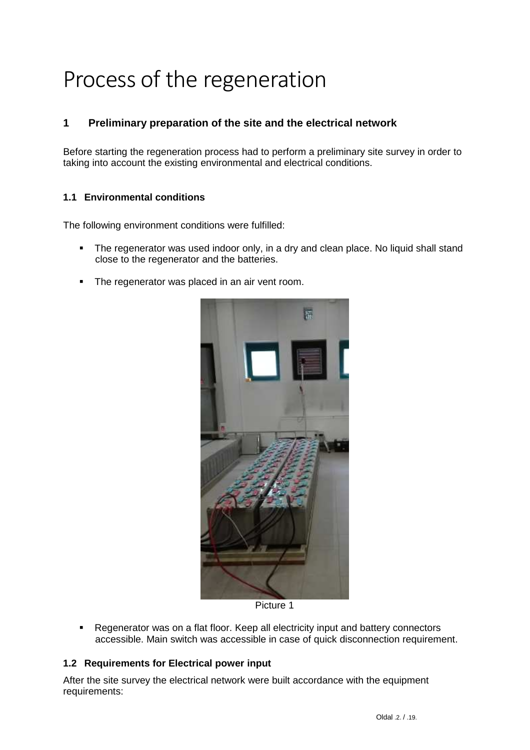# Process of the regeneration

# **1 Preliminary preparation of the site and the electrical network**

Before starting the regeneration process had to perform a preliminary site survey in order to taking into account the existing environmental and electrical conditions.

#### **1.1 Environmental conditions**

The following environment conditions were fulfilled:

- The regenerator was used indoor only, in a dry and clean place. No liquid shall stand close to the regenerator and the batteries.
- The regenerator was placed in an air vent room.



Picture 1

 Regenerator was on a flat floor. Keep all electricity input and battery connectors accessible. Main switch was accessible in case of quick disconnection requirement.

#### **1.2 Requirements for Electrical power input**

After the site survey the electrical network were built accordance with the equipment requirements: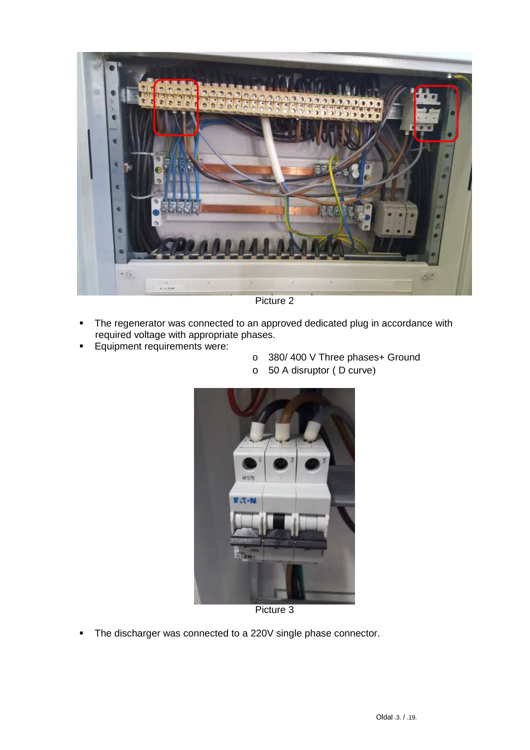

Picture 2

- **The regenerator was connected to an approved dedicated plug in accordance with** required voltage with appropriate phases.
- **Equipment requirements were:**
- o 380/ 400 V Three phases+ Ground
- o 50 A disruptor ( D curve)



Picture 3

• The discharger was connected to a 220V single phase connector.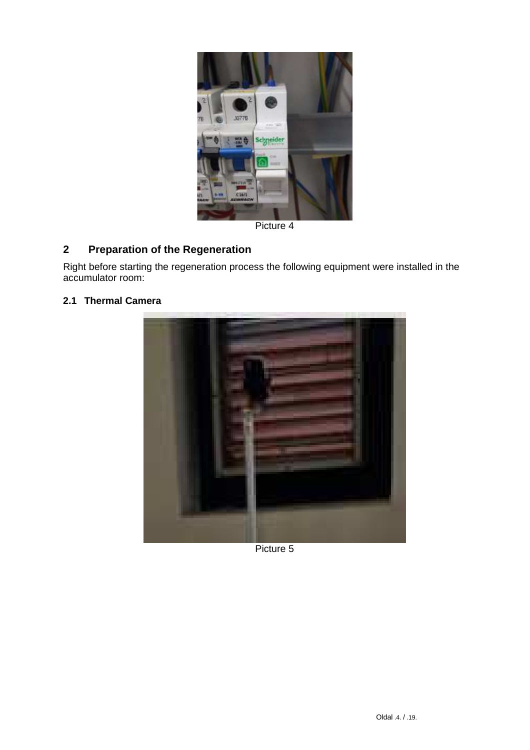

Picture 4

# **2 Preparation of the Regeneration**

Right before starting the regeneration process the following equipment were installed in the accumulator room:

# **2.1 Thermal Camera**

Picture 5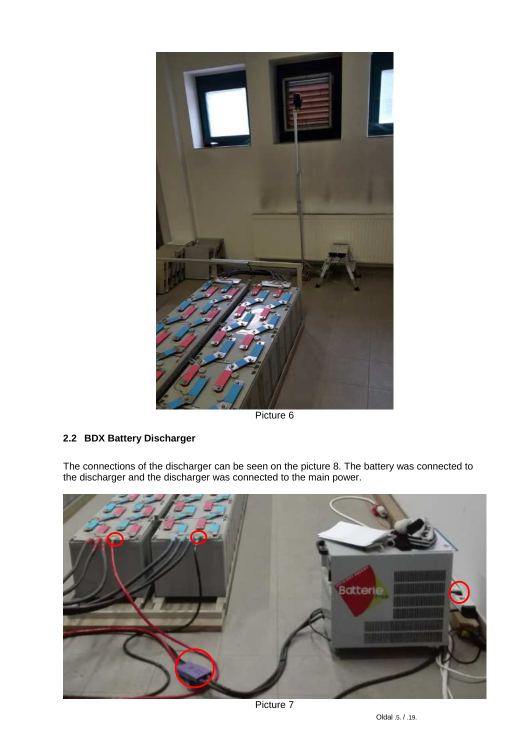

Picture 6

# **2.2 BDX Battery Discharger**

The connections of the discharger can be seen on the picture 8. The battery was connected to the discharger and the discharger was connected to the main power.



Picture 7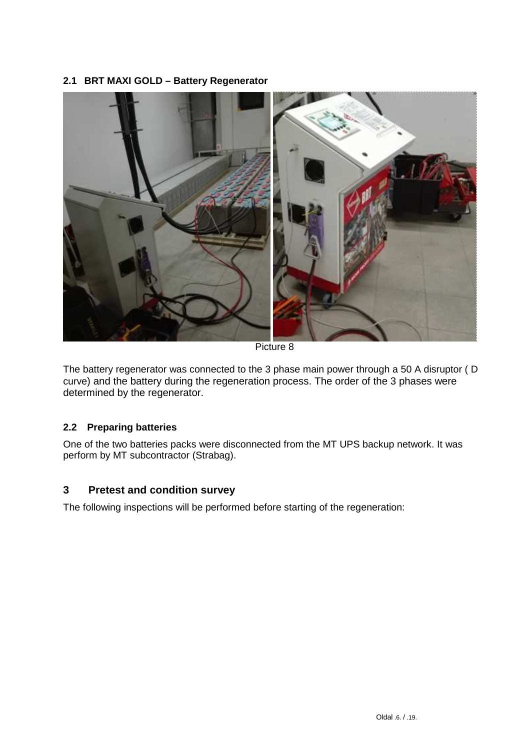#### **2.1 BRT MAXI GOLD – Battery Regenerator**



Picture 8

The battery regenerator was connected to the 3 phase main power through a 50 A disruptor ( D curve) and the battery during the regeneration process. The order of the 3 phases were determined by the regenerator.

#### **2.2 Preparing batteries**

One of the two batteries packs were disconnected from the MT UPS backup network. It was perform by MT subcontractor (Strabag).

#### **3 Pretest and condition survey**

The following inspections will be performed before starting of the regeneration: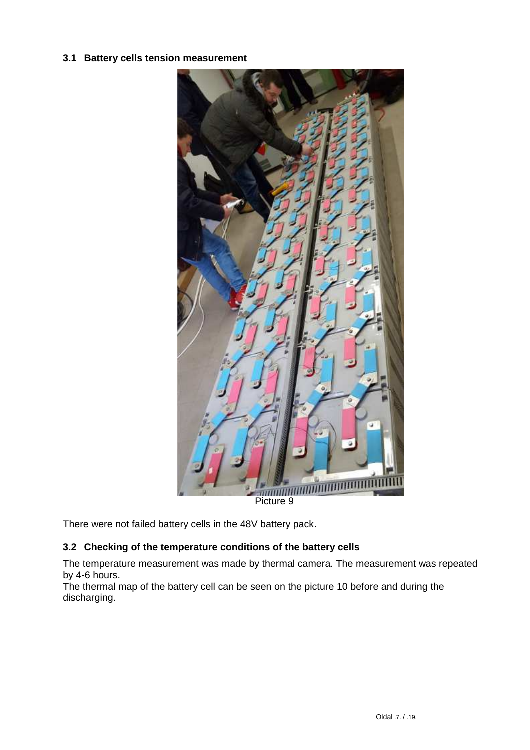#### **3.1 Battery cells tension measurement**



There were not failed battery cells in the 48V battery pack.

### **3.2 Checking of the temperature conditions of the battery cells**

The temperature measurement was made by thermal camera. The measurement was repeated by 4-6 hours.

The thermal map of the battery cell can be seen on the picture 10 before and during the discharging.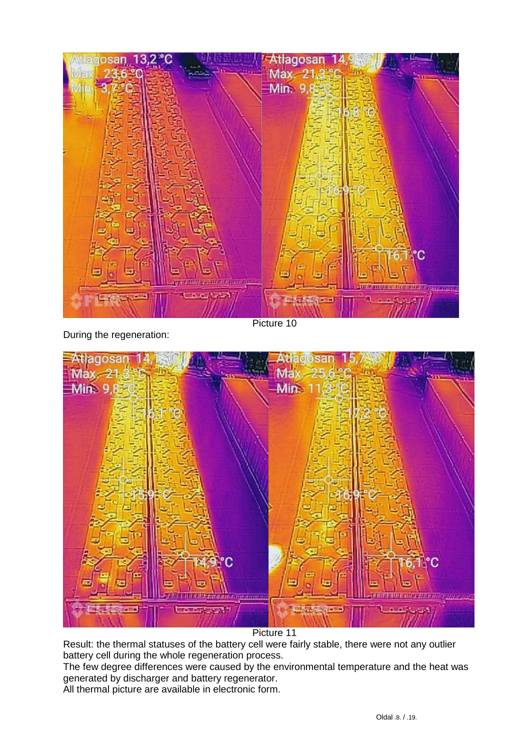

Picture 10

During the regeneration:



Picture 11

Result: the thermal statuses of the battery cell were fairly stable, there were not any outlier battery cell during the whole regeneration process.

The few degree differences were caused by the environmental temperature and the heat was generated by discharger and battery regenerator.

All thermal picture are available in electronic form.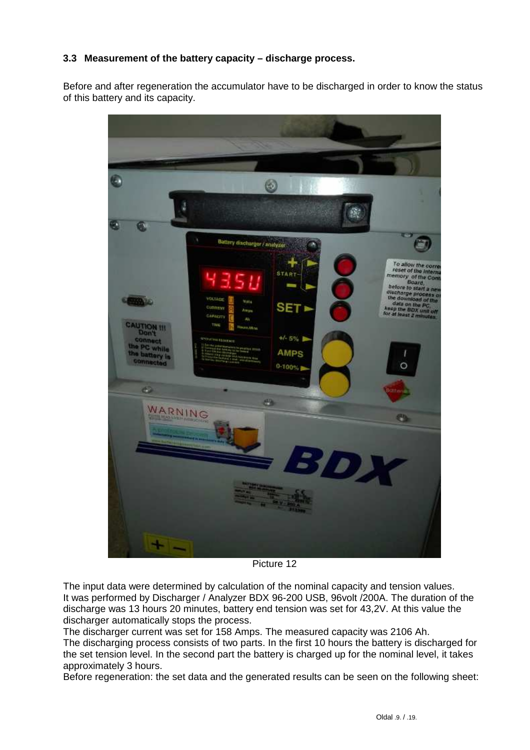#### **3.3 Measurement of the battery capacity – discharge process.**

Before and after regeneration the accumulator have to be discharged in order to know the status of this battery and its capacity.



Picture 12

The input data were determined by calculation of the nominal capacity and tension values. It was performed by Discharger / Analyzer BDX 96-200 USB, 96volt /200A. The duration of the discharge was 13 hours 20 minutes, battery end tension was set for 43,2V. At this value the discharger automatically stops the process.

The discharger current was set for 158 Amps. The measured capacity was 2106 Ah.

The discharging process consists of two parts. In the first 10 hours the battery is discharged for the set tension level. In the second part the battery is charged up for the nominal level, it takes approximately 3 hours.

Before regeneration: the set data and the generated results can be seen on the following sheet: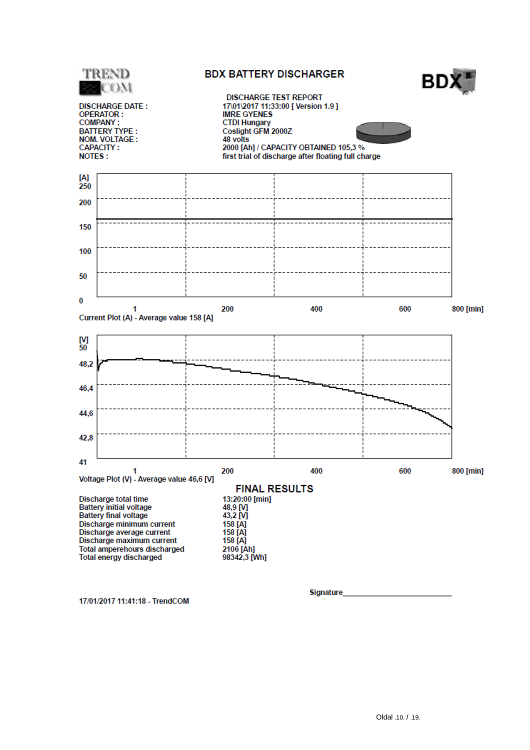

17/01/2017 11:41:18 - TrendCOM

**Signature**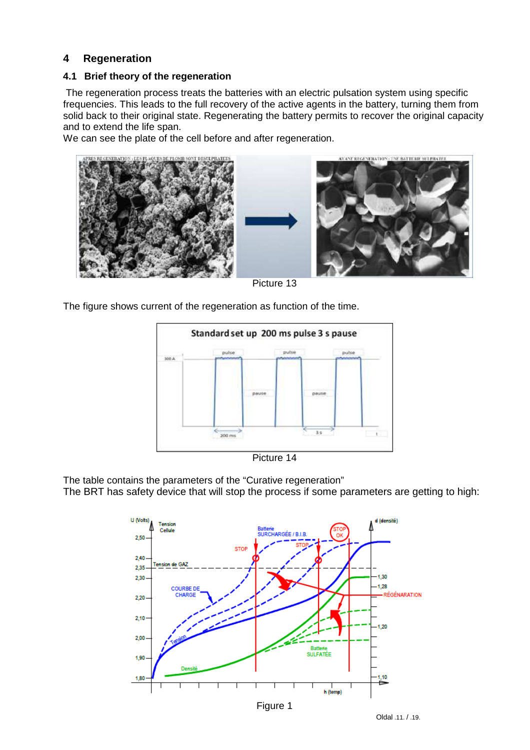# **4 Regeneration**

#### **4.1 Brief theory of the regeneration**

 The regeneration process treats the batteries with an electric pulsation system using specific frequencies. This leads to the full recovery of the active agents in the battery, turning them from solid back to their original state. Regenerating the battery permits to recover the original capacity and to extend the life span.

We can see the plate of the cell before and after regeneration.



Picture 13

The figure shows current of the regeneration as function of the time.



Picture 14

The table contains the parameters of the "Curative regeneration"

The BRT has safety device that will stop the process if some parameters are getting to high:

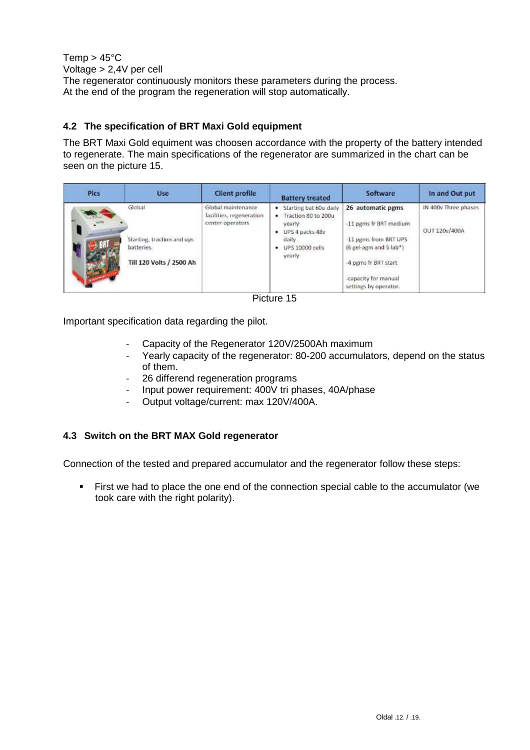$Temp > 45°C$ Voltage > 2,4V per cell The regenerator continuously monitors these parameters during the process. At the end of the program the regeneration will stop automatically.

### **4.2 The specification of BRT Maxi Gold equipment**

The BRT Maxi Gold equiment was choosen accordance with the property of the battery intended to regenerate. The main specifications of the regenerator are summarized in the chart can be seen on the picture 15.

| <b>Pics</b> | Use                                                                            | <b>Client profile</b>                                               | <b>Battery treated</b>                                                                                               | Software                                                                                                                                                                | In and Out put                        |
|-------------|--------------------------------------------------------------------------------|---------------------------------------------------------------------|----------------------------------------------------------------------------------------------------------------------|-------------------------------------------------------------------------------------------------------------------------------------------------------------------------|---------------------------------------|
|             | Global<br>Starting, traction and ups<br>batteries.<br>Till 120 Volts / 2500 Ah | Global maintenance<br>facilities, regeneration.<br>center operators | Starting bat 60u daily<br>Traction 80 to 200u<br>yearly<br>UPS 4 packs 48v<br>daily.<br>· UPS 10000 cells<br>yearly: | 26 automatic pgms<br>-11 pgms fr BRT medium<br>-11 perus from BRT UPS<br>(6 gel-agm and 5 lab*)<br>-4 pgms fr BRT start<br>capacity for manual<br>settings by operator. | IN 400y Three phases<br>OUT 120v/400A |

Picture 15

Important specification data regarding the pilot.

- Capacity of the Regenerator 120V/2500Ah maximum
- Yearly capacity of the regenerator: 80-200 accumulators, depend on the status of them.
- 26 differend regeneration programs
- Input power requirement: 400V tri phases, 40A/phase
- Output voltage/current: max 120V/400A.

#### **4.3 Switch on the BRT MAX Gold regenerator**

Connection of the tested and prepared accumulator and the regenerator follow these steps:

 First we had to place the one end of the connection special cable to the accumulator (we took care with the right polarity).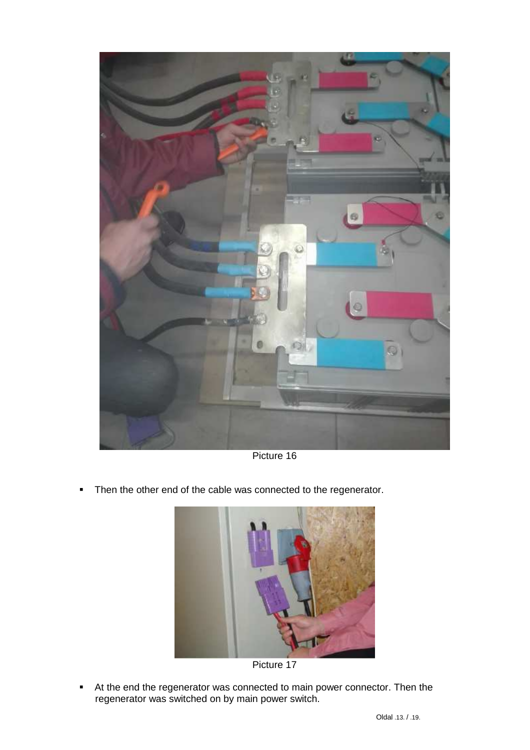

Picture 16

• Then the other end of the cable was connected to the regenerator.



Picture 17

At the end the regenerator was connected to main power connector. Then the regenerator was switched on by main power switch.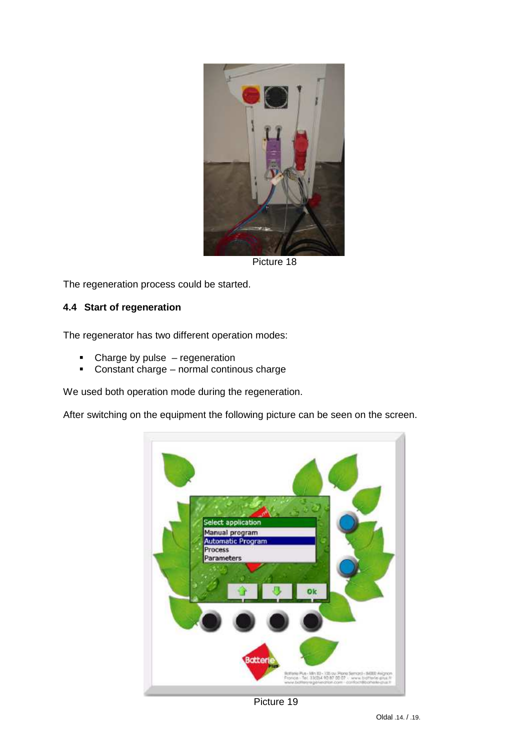

Picture 18

The regeneration process could be started.

#### **4.4 Start of regeneration**

The regenerator has two different operation modes:

- Charge by pulse regeneration
- Constant charge normal continous charge

We used both operation mode during the regeneration.

After switching on the equipment the following picture can be seen on the screen.



Picture 19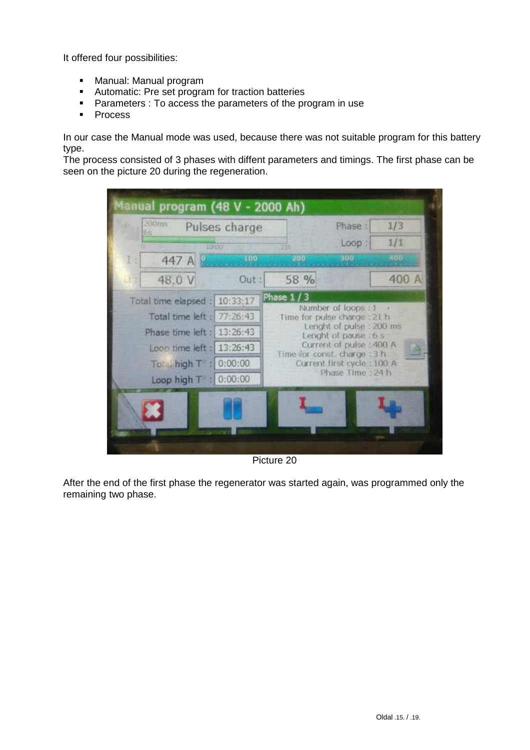It offered four possibilities:

- **Manual: Manual program**
- Automatic: Pre set program for traction batteries
- **Parameters : To access the parameters of the program in use**
- **Process**

In our case the Manual mode was used, because there was not suitable program for this battery type.

The process consisted of 3 phases with diffent parameters and timings. The first phase can be seen on the picture 20 during the regeneration.

|    | 200ms<br>6%                   | Pulses charge<br>10:30 | 216                                                        | Phase:<br>Loop:                                    | 1/3<br>1/1 |  |  |
|----|-------------------------------|------------------------|------------------------------------------------------------|----------------------------------------------------|------------|--|--|
| Iο | 447 A P                       | 100                    | 200                                                        | 300                                                | 400        |  |  |
|    | 48.0 V                        | Out:                   | 58 %                                                       |                                                    | 400 A      |  |  |
|    | Total time elapsed : 10:33;17 |                        | Phase 1                                                    |                                                    |            |  |  |
|    | Total time left : 77:26:43    |                        |                                                            | Number of loops: 1<br>Time for pulse charge : 21 h |            |  |  |
|    | Phase time left : 13:26:43    |                        |                                                            | Lenght of pulse : 200 ms<br>Lenght of pause : 6 s  |            |  |  |
|    | Loop time left : 13:26:43     |                        |                                                            | Current of pulse : 400 A                           |            |  |  |
|    | Total high T° : 0:00:00       |                        | Time for const. charge 13 h<br>Current first cycle : 100 A |                                                    |            |  |  |
|    | Loop high T : 0:00:00         |                        |                                                            | Phase Time : 24 h                                  |            |  |  |
|    |                               |                        |                                                            |                                                    |            |  |  |

Picture 20

After the end of the first phase the regenerator was started again, was programmed only the remaining two phase.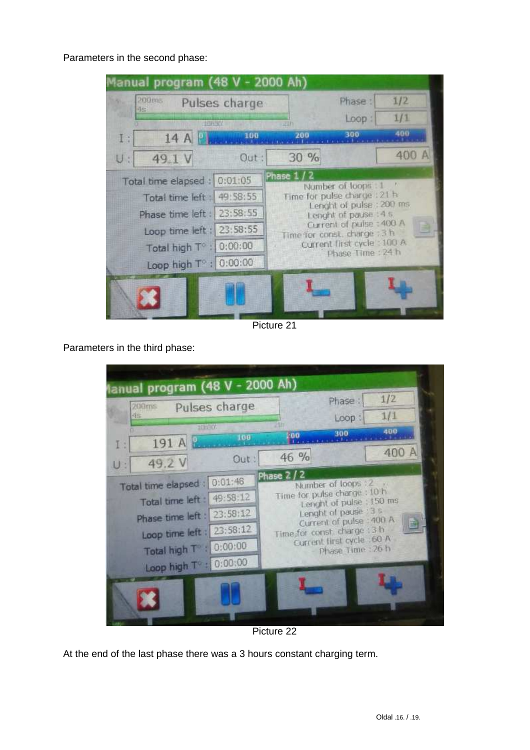Parameters in the second phase:

| 4s<br><b>TELEVIE</b><br><b>Jack</b><br>100<br>200<br>14 A H<br>30 %<br>49.1 V<br>Out: | 1/1<br>Loop:<br>400<br>300                               |
|---------------------------------------------------------------------------------------|----------------------------------------------------------|
| I.                                                                                    |                                                          |
| U:                                                                                    |                                                          |
|                                                                                       | 400 A                                                    |
| Phase 1<br>0:01:05<br>Total time elapsed :                                            | Number of loops 1                                        |
| Total time left : 49:58:55                                                            | Time for pulse charge : 21 h                             |
| Phase time left : 23:58:55                                                            | Lenght of pulse : 200 ms<br>Lenght of pause : 4 s        |
| 23:58:55<br>Loop time left :                                                          | Current of pulse : 400 A<br>Time for const. charge : 3 h |
| Total high T° : 0:00:00                                                               | Current first cycle : 100 A<br>Phase Time: 24 h          |
| Loop high T° : 0:00:00                                                                |                                                          |

Picture 21

Parameters in the third phase:

| 200ms<br>48                                                                                          | Pulses charge       |           | Phase:<br>Loop:                                                                                                                                                                                   | 1/2<br>1/1 |
|------------------------------------------------------------------------------------------------------|---------------------|-----------|---------------------------------------------------------------------------------------------------------------------------------------------------------------------------------------------------|------------|
| <b>TELESTI</b>                                                                                       | 100                 | 100       | 300                                                                                                                                                                                               | 400        |
| 191 A<br>II.<br>49.2 V<br>$U$ :                                                                      | Out:                | 46 %      |                                                                                                                                                                                                   | 400 A      |
| Total time elapsed :<br>Total time left : 49:58:12<br>Phase time left :<br>Loop time left : 23:58:12 | 0:01:48<br>23:58:12 | Phase 2/2 | Number of loops : 2<br>Time for pulse charge: 10 h<br>Lenght of pulse : 150 ms<br>Lenght of pause : 3 s<br>Current of pulse : 400 A<br>Time for const. charge : 3 h<br>Current first cycle : 60 A |            |
| Total high T : 0:00:00<br>Loop high T : 0:00:00                                                      |                     |           | Phase Time : 26 h                                                                                                                                                                                 |            |
|                                                                                                      |                     |           |                                                                                                                                                                                                   |            |

Picture 22

At the end of the last phase there was a 3 hours constant charging term.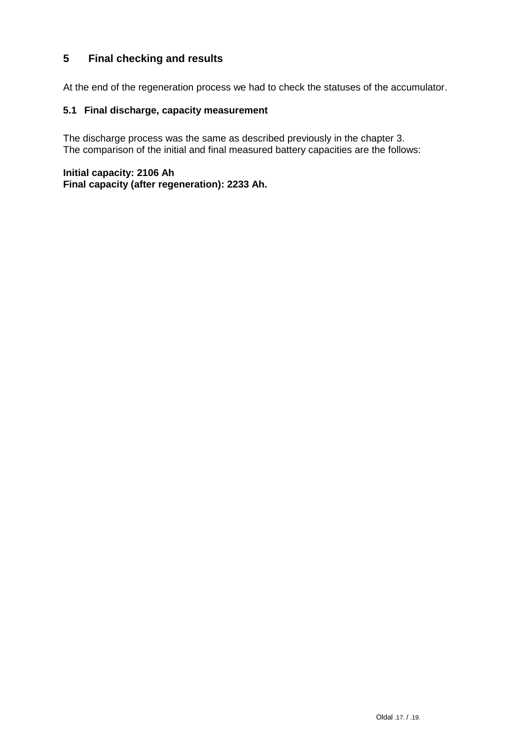# **5 Final checking and results**

At the end of the regeneration process we had to check the statuses of the accumulator.

#### **5.1 Final discharge, capacity measurement**

The discharge process was the same as described previously in the chapter 3. The comparison of the initial and final measured battery capacities are the follows:

**Initial capacity: 2106 Ah Final capacity (after regeneration): 2233 Ah.**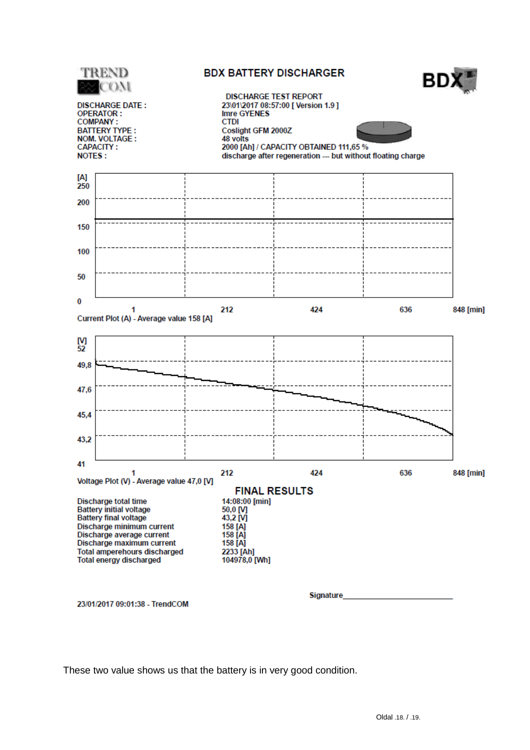

These two value shows us that the battery is in very good condition.